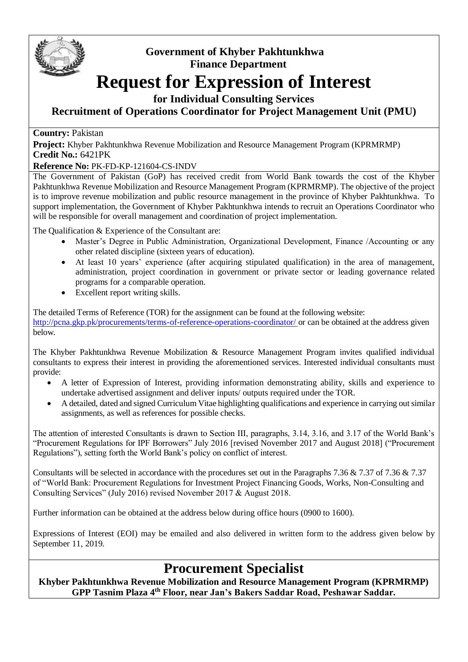

## **Government of Khyber Pakhtunkhwa Finance Department**

# **Request for Expression of Interest**

### **for Individual Consulting Services**

**Recruitment of Operations Coordinator for Project Management Unit (PMU)**

#### **Country:** Pakistan

**Project:** Khyber Pakhtunkhwa Revenue Mobilization and Resource Management Program (KPRMRMP) **Credit No.:** 6421PK

#### **Reference No:** PK-FD-KP-121604-CS-INDV

The Government of Pakistan (GoP) has received credit from World Bank towards the cost of the Khyber Pakhtunkhwa Revenue Mobilization and Resource Management Program (KPRMRMP). The objective of the project is to improve revenue mobilization and public resource management in the province of Khyber Pakhtunkhwa. To support implementation, the Government of Khyber Pakhtunkhwa intends to recruit an Operations Coordinator who will be responsible for overall management and coordination of project implementation.

The Qualification & Experience of the Consultant are:

- Master's Degree in Public Administration, Organizational Development, Finance /Accounting or any other related discipline (sixteen years of education).
- At least 10 years' experience (after acquiring stipulated qualification) in the area of management, administration, project coordination in government or private sector or leading governance related programs for a comparable operation.
- Excellent report writing skills.

The detailed Terms of Reference (TOR) for the assignment can be found at the following website[:](http://pcna.gkp.pk/procurements/terms-of-reference-operations-coordinator/) <http://pcna.gkp.pk/procurements/terms-of-reference-operations-coordinator/> or can be obtained at the address given below*.*

The Khyber Pakhtunkhwa Revenue Mobilization & Resource Management Program invites qualified individual consultants to express their interest in providing the aforementioned services. Interested individual consultants must provide:

- A letter of Expression of Interest, providing information demonstrating ability, skills and experience to undertake advertised assignment and deliver inputs/ outputs required under the TOR.
- A detailed, dated and signed Curriculum Vitae highlighting qualifications and experience in carrying out similar assignments, as well as references for possible checks.

The attention of interested Consultants is drawn to Section III, paragraphs, 3.14, 3.16, and 3.17 of the World Bank's "Procurement Regulations for IPF Borrowers" July 2016 [revised November 2017 and August 2018] ("Procurement Regulations"), setting forth the World Bank's policy on conflict of interest.

Consultants will be selected in accordance with the procedures set out in the Paragraphs 7.36 & 7.37 of 7.36 & 7.37 of "World Bank: Procurement Regulations for Investment Project Financing Goods, Works, Non-Consulting and Consulting Services" (July 2016) revised November 2017 & August 2018.

Further information can be obtained at the address below during office hours (0900 to 1600).

Expressions of Interest (EOI) may be emailed and also delivered in written form to the address given below by September 11, 2019.

# **Procurement Specialist**

**Khyber Pakhtunkhwa Revenue Mobilization and Resource Management Program (KPRMRMP) GPP Tasnim Plaza 4th Floor, near Jan's Bakers Saddar Road, Peshawar Saddar.**